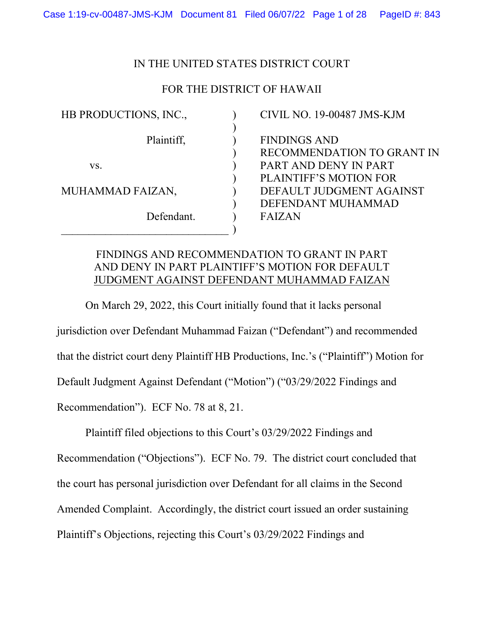## IN THE UNITED STATES DISTRICT COURT

# FOR THE DISTRICT OF HAWAII

) ) ) ) ) ) ) ) ) )

HB PRODUCTIONS, INC.,

Plaintiff,

vs.

MUHAMMAD FAIZAN,

Defendant.

\_\_\_\_\_\_\_\_\_\_\_\_\_\_\_\_\_\_\_\_\_\_\_\_\_\_\_\_\_\_\_

CIVIL NO. 19-00487 JMS-KJM FINDINGS AND RECOMMENDATION TO GRANT IN PART AND DENY IN PART PLAINTIFF'S MOTION FOR DEFAULT JUDGMENT AGAINST DEFENDANT MUHAMMAD FAIZAN

# FINDINGS AND RECOMMENDATION TO GRANT IN PART AND DENY IN PART PLAINTIFF'S MOTION FOR DEFAULT JUDGMENT AGAINST DEFENDANT MUHAMMAD FAIZAN

On March 29, 2022, this Court initially found that it lacks personal jurisdiction over Defendant Muhammad Faizan ("Defendant") and recommended that the district court deny Plaintiff HB Productions, Inc.'s ("Plaintiff") Motion for Default Judgment Against Defendant ("Motion") ("03/29/2022 Findings and Recommendation"). ECF No. 78 at 8, 21.

Plaintiff filed objections to this Court's 03/29/2022 Findings and

Recommendation ("Objections"). ECF No. 79. The district court concluded that the court has personal jurisdiction over Defendant for all claims in the Second Amended Complaint. Accordingly, the district court issued an order sustaining Plaintiff's Objections, rejecting this Court's 03/29/2022 Findings and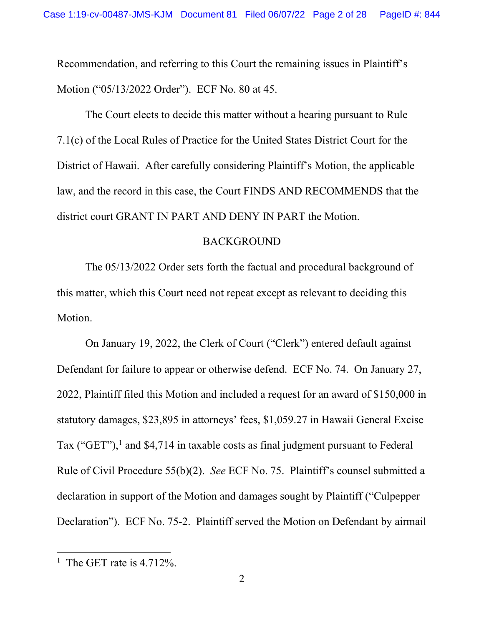Recommendation, and referring to this Court the remaining issues in Plaintiff's Motion ("05/13/2022 Order"). ECF No. 80 at 45.

The Court elects to decide this matter without a hearing pursuant to Rule 7.1(c) of the Local Rules of Practice for the United States District Court for the District of Hawaii. After carefully considering Plaintiff's Motion, the applicable law, and the record in this case, the Court FINDS AND RECOMMENDS that the district court GRANT IN PART AND DENY IN PART the Motion.

### BACKGROUND

The 05/13/2022 Order sets forth the factual and procedural background of this matter, which this Court need not repeat except as relevant to deciding this Motion.

On January 19, 2022, the Clerk of Court ("Clerk") entered default against Defendant for failure to appear or otherwise defend. ECF No. 74. On January 27, 2022, Plaintiff filed this Motion and included a request for an award of \$150,000 in statutory damages, \$23,895 in attorneys' fees, \$1,059.27 in Hawaii General Excise Tax ("GET"),<sup>1</sup> and \$4,714 in taxable costs as final judgment pursuant to Federal Rule of Civil Procedure 55(b)(2). *See* ECF No. 75. Plaintiff's counsel submitted a declaration in support of the Motion and damages sought by Plaintiff ("Culpepper Declaration"). ECF No. 75-2. Plaintiff served the Motion on Defendant by airmail

<sup>&</sup>lt;sup>1</sup> The GET rate is 4.712%.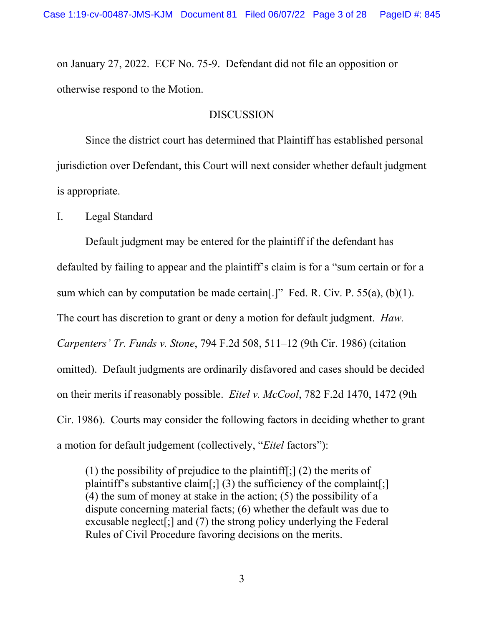on January 27, 2022. ECF No. 75-9. Defendant did not file an opposition or otherwise respond to the Motion.

## **DISCUSSION**

Since the district court has determined that Plaintiff has established personal jurisdiction over Defendant, this Court will next consider whether default judgment is appropriate.

I. Legal Standard

Default judgment may be entered for the plaintiff if the defendant has defaulted by failing to appear and the plaintiff's claim is for a "sum certain or for a sum which can by computation be made certain[.]" Fed. R. Civ. P.  $55(a)$ , (b)(1). The court has discretion to grant or deny a motion for default judgment. *Haw. Carpenters' Tr. Funds v. Stone*, 794 F.2d 508, 511–12 (9th Cir. 1986) (citation omitted). Default judgments are ordinarily disfavored and cases should be decided on their merits if reasonably possible. *Eitel v. McCool*, 782 F.2d 1470, 1472 (9th Cir. 1986). Courts may consider the following factors in deciding whether to grant a motion for default judgement (collectively, "*Eitel* factors"):

(1) the possibility of prejudice to the plaintiff[;] (2) the merits of plaintiff's substantive claim[;] (3) the sufficiency of the complaint[;] (4) the sum of money at stake in the action; (5) the possibility of a dispute concerning material facts; (6) whether the default was due to excusable neglect[;] and (7) the strong policy underlying the Federal Rules of Civil Procedure favoring decisions on the merits.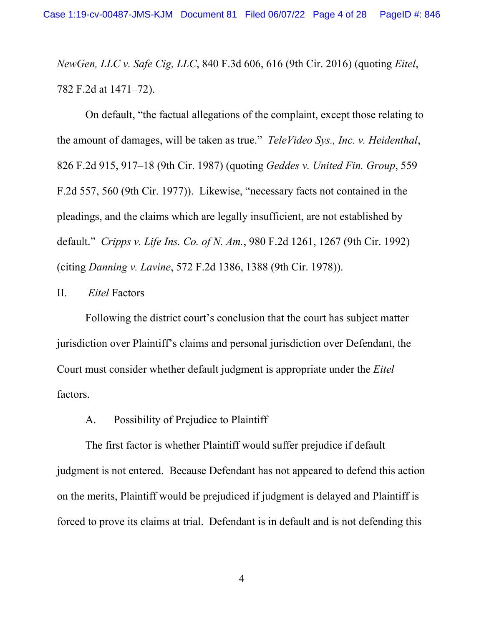*NewGen, LLC v. Safe Cig, LLC*, 840 F.3d 606, 616 (9th Cir. 2016) (quoting *Eitel*, 782 F.2d at 1471–72).

On default, "the factual allegations of the complaint, except those relating to the amount of damages, will be taken as true." *TeleVideo Sys., Inc. v. Heidenthal*, 826 F.2d 915, 917–18 (9th Cir. 1987) (quoting *Geddes v. United Fin. Group*, 559 F.2d 557, 560 (9th Cir. 1977)). Likewise, "necessary facts not contained in the pleadings, and the claims which are legally insufficient, are not established by default." *Cripps v. Life Ins. Co. of N. Am.*, 980 F.2d 1261, 1267 (9th Cir. 1992) (citing *Danning v. Lavine*, 572 F.2d 1386, 1388 (9th Cir. 1978)).

# II. *Eitel* Factors

Following the district court's conclusion that the court has subject matter jurisdiction over Plaintiff's claims and personal jurisdiction over Defendant, the Court must consider whether default judgment is appropriate under the *Eitel* factors.

# A. Possibility of Prejudice to Plaintiff

The first factor is whether Plaintiff would suffer prejudice if default judgment is not entered. Because Defendant has not appeared to defend this action on the merits, Plaintiff would be prejudiced if judgment is delayed and Plaintiff is forced to prove its claims at trial. Defendant is in default and is not defending this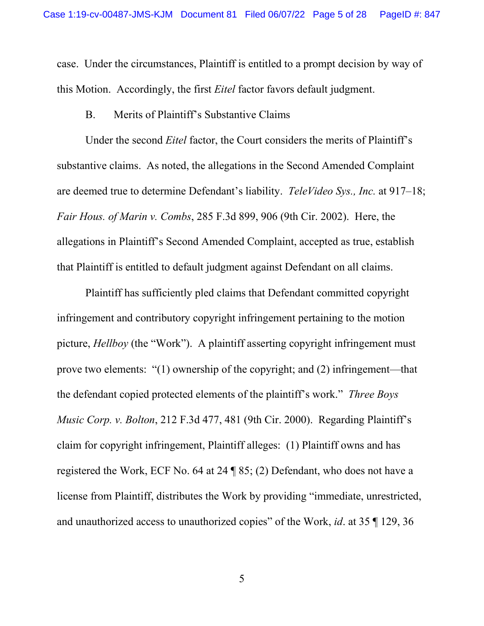case. Under the circumstances, Plaintiff is entitled to a prompt decision by way of this Motion. Accordingly, the first *Eitel* factor favors default judgment.

B. Merits of Plaintiff's Substantive Claims

Under the second *Eitel* factor, the Court considers the merits of Plaintiff's substantive claims. As noted, the allegations in the Second Amended Complaint are deemed true to determine Defendant's liability. *TeleVideo Sys., Inc.* at 917–18; *Fair Hous. of Marin v. Combs*, 285 F.3d 899, 906 (9th Cir. 2002). Here, the allegations in Plaintiff's Second Amended Complaint, accepted as true, establish that Plaintiff is entitled to default judgment against Defendant on all claims.

Plaintiff has sufficiently pled claims that Defendant committed copyright infringement and contributory copyright infringement pertaining to the motion picture, *Hellboy* (the "Work"). A plaintiff asserting copyright infringement must prove two elements: "(1) ownership of the copyright; and (2) infringement—that the defendant copied protected elements of the plaintiff's work." *Three Boys Music Corp. v. Bolton*, 212 F.3d 477, 481 (9th Cir. 2000). Regarding Plaintiff's claim for copyright infringement, Plaintiff alleges: (1) Plaintiff owns and has registered the Work, ECF No. 64 at 24 ¶ 85; (2) Defendant, who does not have a license from Plaintiff, distributes the Work by providing "immediate, unrestricted, and unauthorized access to unauthorized copies" of the Work, *id*. at 35 ¶ 129, 36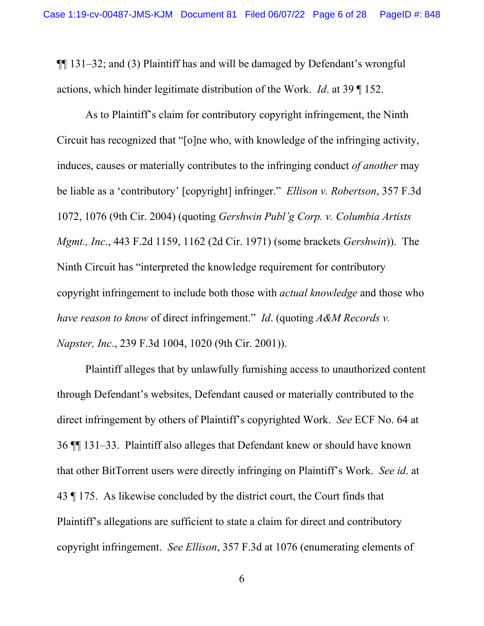¶¶ 131–32; and (3) Plaintiff has and will be damaged by Defendant's wrongful actions, which hinder legitimate distribution of the Work. *Id*. at 39 ¶ 152.

As to Plaintiff's claim for contributory copyright infringement, the Ninth Circuit has recognized that "[o]ne who, with knowledge of the infringing activity, induces, causes or materially contributes to the infringing conduct *of another* may be liable as a 'contributory' [copyright] infringer." *Ellison v. Robertson*, 357 F.3d 1072, 1076 (9th Cir. 2004) (quoting *Gershwin Publ'g Corp. v. Columbia Artists Mgmt., Inc*., 443 F.2d 1159, 1162 (2d Cir. 1971) (some brackets *Gershwin*)). The Ninth Circuit has "interpreted the knowledge requirement for contributory copyright infringement to include both those with *actual knowledge* and those who *have reason to know* of direct infringement." *Id*. (quoting *A&M Records v. Napster, Inc*., 239 F.3d 1004, 1020 (9th Cir. 2001)).

Plaintiff alleges that by unlawfully furnishing access to unauthorized content through Defendant's websites, Defendant caused or materially contributed to the direct infringement by others of Plaintiff's copyrighted Work. *See* ECF No. 64 at 36 ¶¶ 131–33. Plaintiff also alleges that Defendant knew or should have known that other BitTorrent users were directly infringing on Plaintiff's Work. *See id*. at 43 ¶ 175. As likewise concluded by the district court, the Court finds that Plaintiff's allegations are sufficient to state a claim for direct and contributory copyright infringement. *See Ellison*, 357 F.3d at 1076 (enumerating elements of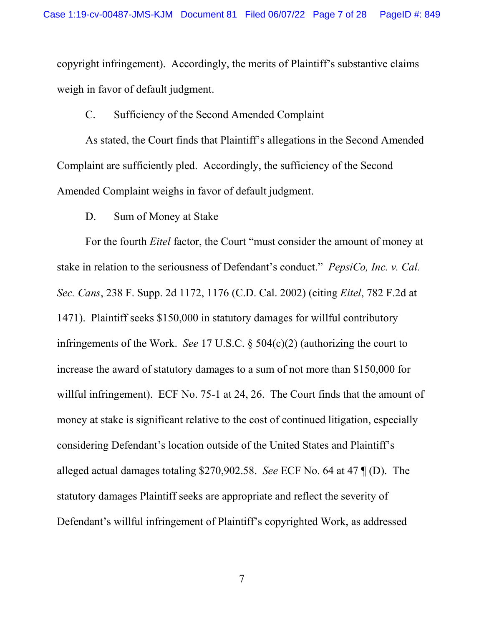copyright infringement). Accordingly, the merits of Plaintiff's substantive claims weigh in favor of default judgment.

## C. Sufficiency of the Second Amended Complaint

As stated, the Court finds that Plaintiff's allegations in the Second Amended Complaint are sufficiently pled. Accordingly, the sufficiency of the Second Amended Complaint weighs in favor of default judgment.

## D. Sum of Money at Stake

For the fourth *Eitel* factor, the Court "must consider the amount of money at stake in relation to the seriousness of Defendant's conduct." *PepsiCo, Inc. v. Cal. Sec. Cans*, 238 F. Supp. 2d 1172, 1176 (C.D. Cal. 2002) (citing *Eitel*, 782 F.2d at 1471). Plaintiff seeks \$150,000 in statutory damages for willful contributory infringements of the Work. *See* 17 U.S.C. § 504(c)(2) (authorizing the court to increase the award of statutory damages to a sum of not more than \$150,000 for willful infringement). ECF No. 75-1 at 24, 26. The Court finds that the amount of money at stake is significant relative to the cost of continued litigation, especially considering Defendant's location outside of the United States and Plaintiff's alleged actual damages totaling \$270,902.58. *See* ECF No. 64 at 47 ¶ (D). The statutory damages Plaintiff seeks are appropriate and reflect the severity of Defendant's willful infringement of Plaintiff's copyrighted Work, as addressed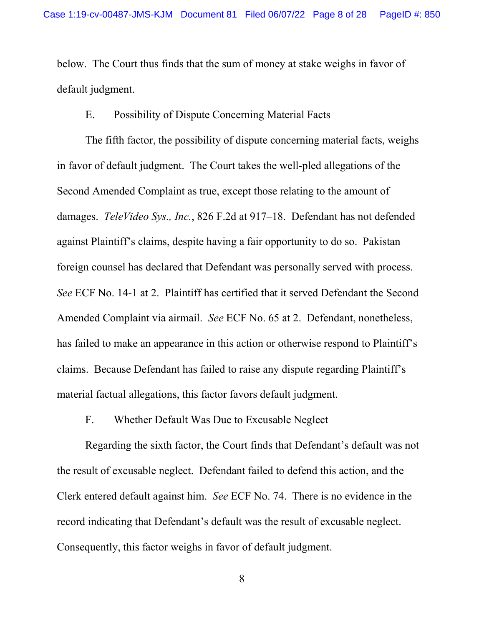below. The Court thus finds that the sum of money at stake weighs in favor of default judgment.

# E. Possibility of Dispute Concerning Material Facts

The fifth factor, the possibility of dispute concerning material facts, weighs in favor of default judgment. The Court takes the well-pled allegations of the Second Amended Complaint as true, except those relating to the amount of damages. *TeleVideo Sys., Inc.*, 826 F.2d at 917–18. Defendant has not defended against Plaintiff's claims, despite having a fair opportunity to do so. Pakistan foreign counsel has declared that Defendant was personally served with process. *See* ECF No. 14-1 at 2. Plaintiff has certified that it served Defendant the Second Amended Complaint via airmail. *See* ECF No. 65 at 2. Defendant, nonetheless, has failed to make an appearance in this action or otherwise respond to Plaintiff's claims. Because Defendant has failed to raise any dispute regarding Plaintiff's material factual allegations, this factor favors default judgment.

F. Whether Default Was Due to Excusable Neglect

Regarding the sixth factor, the Court finds that Defendant's default was not the result of excusable neglect. Defendant failed to defend this action, and the Clerk entered default against him. *See* ECF No. 74. There is no evidence in the record indicating that Defendant's default was the result of excusable neglect. Consequently, this factor weighs in favor of default judgment.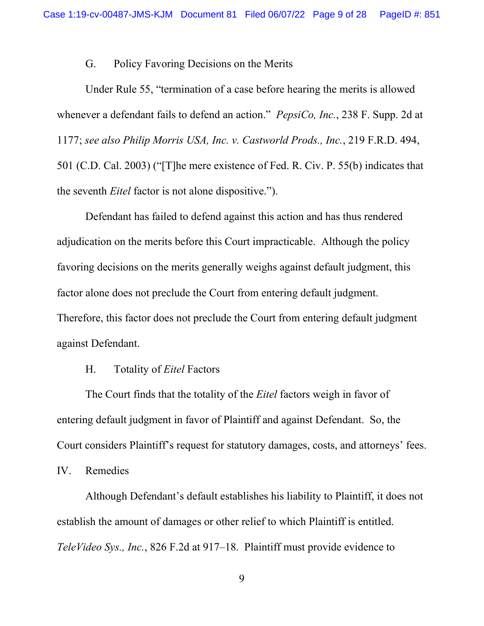# G. Policy Favoring Decisions on the Merits

Under Rule 55, "termination of a case before hearing the merits is allowed whenever a defendant fails to defend an action." *PepsiCo, Inc.*, 238 F. Supp. 2d at 1177; *see also Philip Morris USA, Inc. v. Castworld Prods., Inc.*, 219 F.R.D. 494, 501 (C.D. Cal. 2003) ("[T]he mere existence of Fed. R. Civ. P. 55(b) indicates that the seventh *Eitel* factor is not alone dispositive.").

Defendant has failed to defend against this action and has thus rendered adjudication on the merits before this Court impracticable. Although the policy favoring decisions on the merits generally weighs against default judgment, this factor alone does not preclude the Court from entering default judgment. Therefore, this factor does not preclude the Court from entering default judgment against Defendant.

# H. Totality of *Eitel* Factors

The Court finds that the totality of the *Eitel* factors weigh in favor of entering default judgment in favor of Plaintiff and against Defendant. So, the Court considers Plaintiff's request for statutory damages, costs, and attorneys' fees.

IV. Remedies

Although Defendant's default establishes his liability to Plaintiff, it does not establish the amount of damages or other relief to which Plaintiff is entitled. *TeleVideo Sys., Inc.*, 826 F.2d at 917–18. Plaintiff must provide evidence to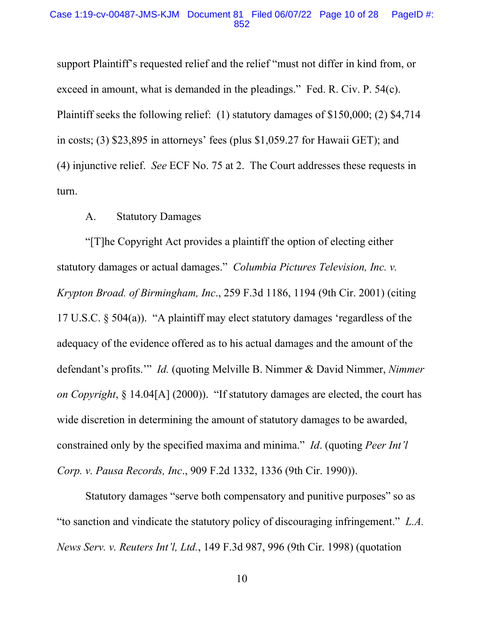#### Case 1:19-cv-00487-JMS-KJM Document 81 Filed 06/07/22 Page 10 of 28 PageID #: 852

support Plaintiff's requested relief and the relief "must not differ in kind from, or exceed in amount, what is demanded in the pleadings." Fed. R. Civ. P. 54(c). Plaintiff seeks the following relief: (1) statutory damages of \$150,000; (2) \$4,714 in costs; (3) \$23,895 in attorneys' fees (plus \$1,059.27 for Hawaii GET); and (4) injunctive relief. *See* ECF No. 75 at 2. The Court addresses these requests in turn.

### A. Statutory Damages

"[T]he Copyright Act provides a plaintiff the option of electing either statutory damages or actual damages." *Columbia Pictures Television, Inc. v. Krypton Broad. of Birmingham, Inc*., 259 F.3d 1186, 1194 (9th Cir. 2001) (citing 17 U.S.C. § 504(a)). "A plaintiff may elect statutory damages 'regardless of the adequacy of the evidence offered as to his actual damages and the amount of the defendant's profits.'" *Id.* (quoting Melville B. Nimmer & David Nimmer, *Nimmer on Copyright*, § 14.04[A] (2000)). "If statutory damages are elected, the court has wide discretion in determining the amount of statutory damages to be awarded, constrained only by the specified maxima and minima." *Id*. (quoting *Peer Int'l Corp. v. Pausa Records, Inc*., 909 F.2d 1332, 1336 (9th Cir. 1990)).

Statutory damages "serve both compensatory and punitive purposes" so as "to sanction and vindicate the statutory policy of discouraging infringement." *L.A. News Serv. v. Reuters Int'l, Ltd.*, 149 F.3d 987, 996 (9th Cir. 1998) (quotation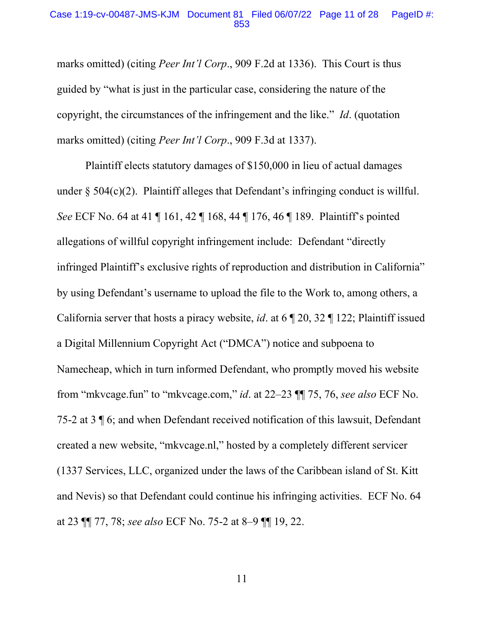#### Case 1:19-cv-00487-JMS-KJM Document 81 Filed 06/07/22 Page 11 of 28 PageID #: 853

marks omitted) (citing *Peer Int'l Corp*., 909 F.2d at 1336). This Court is thus guided by "what is just in the particular case, considering the nature of the copyright, the circumstances of the infringement and the like." *Id*. (quotation marks omitted) (citing *Peer Int'l Corp*., 909 F.3d at 1337).

Plaintiff elects statutory damages of \$150,000 in lieu of actual damages under  $\S$  504(c)(2). Plaintiff alleges that Defendant's infringing conduct is willful. *See* ECF No. 64 at 41 | 161, 42 | 168, 44 | 176, 46 | 189. Plaintiff's pointed allegations of willful copyright infringement include: Defendant "directly infringed Plaintiff's exclusive rights of reproduction and distribution in California" by using Defendant's username to upload the file to the Work to, among others, a California server that hosts a piracy website, *id*. at 6 ¶ 20, 32 ¶ 122; Plaintiff issued a Digital Millennium Copyright Act ("DMCA") notice and subpoena to Namecheap, which in turn informed Defendant, who promptly moved his website from "mkvcage.fun" to "mkvcage.com," *id*. at 22–23 ¶¶ 75, 76, *see also* ECF No. 75-2 at 3 ¶ 6; and when Defendant received notification of this lawsuit, Defendant created a new website, "mkvcage.nl," hosted by a completely different servicer (1337 Services, LLC, organized under the laws of the Caribbean island of St. Kitt and Nevis) so that Defendant could continue his infringing activities. ECF No. 64 at 23 ¶¶ 77, 78; *see also* ECF No. 75-2 at 8–9 ¶¶ 19, 22.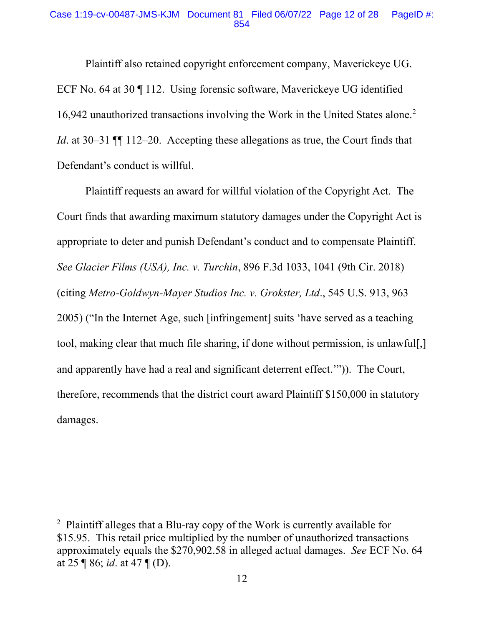### Case 1:19-cv-00487-JMS-KJM Document 81 Filed 06/07/22 Page 12 of 28 PageID #: 854

Plaintiff also retained copyright enforcement company, Maverickeye UG. ECF No. 64 at 30 ¶ 112. Using forensic software, Maverickeye UG identified 16,942 unauthorized transactions involving the Work in the United States alone. 2 *Id*. at 30–31  $\P$  112–20. Accepting these allegations as true, the Court finds that Defendant's conduct is willful.

Plaintiff requests an award for willful violation of the Copyright Act. The Court finds that awarding maximum statutory damages under the Copyright Act is appropriate to deter and punish Defendant's conduct and to compensate Plaintiff. *See Glacier Films (USA), Inc. v. Turchin*, 896 F.3d 1033, 1041 (9th Cir. 2018) (citing *Metro-Goldwyn-Mayer Studios Inc. v. Grokster, Ltd*., 545 U.S. 913, 963 2005) ("In the Internet Age, such [infringement] suits 'have served as a teaching tool, making clear that much file sharing, if done without permission, is unlawful[,] and apparently have had a real and significant deterrent effect.'")). The Court, therefore, recommends that the district court award Plaintiff \$150,000 in statutory damages.

<sup>&</sup>lt;sup>2</sup> Plaintiff alleges that a Blu-ray copy of the Work is currently available for \$15.95. This retail price multiplied by the number of unauthorized transactions approximately equals the \$270,902.58 in alleged actual damages. *See* ECF No. 64 at 25 ¶ 86; *id*. at 47 ¶ (D).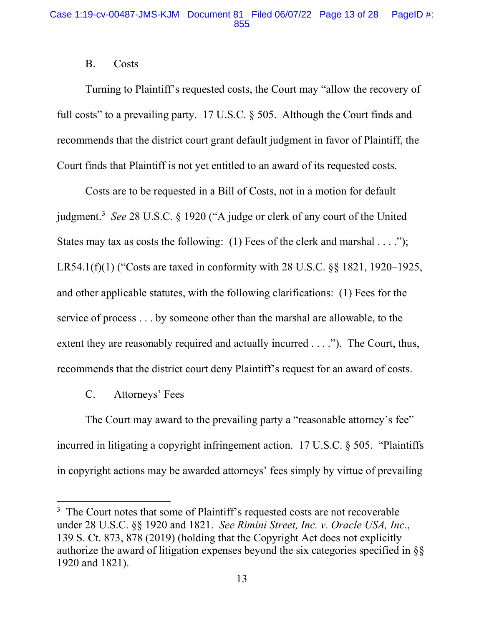## B. Costs

Turning to Plaintiff's requested costs, the Court may "allow the recovery of full costs" to a prevailing party. 17 U.S.C. § 505. Although the Court finds and recommends that the district court grant default judgment in favor of Plaintiff, the Court finds that Plaintiff is not yet entitled to an award of its requested costs.

Costs are to be requested in a Bill of Costs, not in a motion for default judgment. <sup>3</sup> *See* 28 U.S.C. § 1920 ("A judge or clerk of any court of the United States may tax as costs the following: (1) Fees of the clerk and marshal  $\dots$ "); LR54.1(f)(1) ("Costs are taxed in conformity with 28 U.S.C. §§ 1821, 1920–1925, and other applicable statutes, with the following clarifications: (1) Fees for the service of process . . . by someone other than the marshal are allowable, to the extent they are reasonably required and actually incurred . . . ."). The Court, thus, recommends that the district court deny Plaintiff's request for an award of costs.

C. Attorneys' Fees

The Court may award to the prevailing party a "reasonable attorney's fee" incurred in litigating a copyright infringement action. 17 U.S.C. § 505. "Plaintiffs in copyright actions may be awarded attorneys' fees simply by virtue of prevailing

<sup>&</sup>lt;sup>3</sup> The Court notes that some of Plaintiff's requested costs are not recoverable under 28 U.S.C. §§ 1920 and 1821. *See Rimini Street, Inc. v. Oracle USA, Inc*., 139 S. Ct. 873, 878 (2019) (holding that the Copyright Act does not explicitly authorize the award of litigation expenses beyond the six categories specified in §§ 1920 and 1821).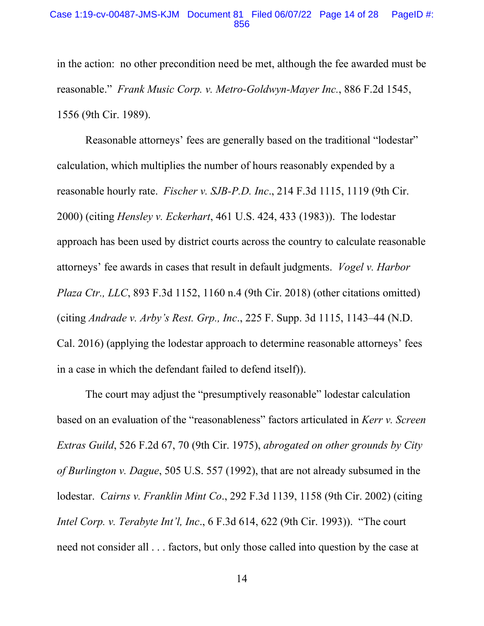#### Case 1:19-cv-00487-JMS-KJM Document 81 Filed 06/07/22 Page 14 of 28 PageID #: 856

in the action: no other precondition need be met, although the fee awarded must be reasonable." *Frank Music Corp. v. Metro-Goldwyn-Mayer Inc.*, 886 F.2d 1545, 1556 (9th Cir. 1989).

Reasonable attorneys' fees are generally based on the traditional "lodestar" calculation, which multiplies the number of hours reasonably expended by a reasonable hourly rate. *Fischer v. SJB-P.D. Inc*., 214 F.3d 1115, 1119 (9th Cir. 2000) (citing *Hensley v. Eckerhart*, 461 U.S. 424, 433 (1983)). The lodestar approach has been used by district courts across the country to calculate reasonable attorneys' fee awards in cases that result in default judgments. *Vogel v. Harbor Plaza Ctr., LLC*, 893 F.3d 1152, 1160 n.4 (9th Cir. 2018) (other citations omitted) (citing *Andrade v. Arby's Rest. Grp., Inc*., 225 F. Supp. 3d 1115, 1143–44 (N.D. Cal. 2016) (applying the lodestar approach to determine reasonable attorneys' fees in a case in which the defendant failed to defend itself)).

The court may adjust the "presumptively reasonable" lodestar calculation based on an evaluation of the "reasonableness" factors articulated in *Kerr v. Screen Extras Guild*, 526 F.2d 67, 70 (9th Cir. 1975), *abrogated on other grounds by City of Burlington v. Dague*, 505 U.S. 557 (1992), that are not already subsumed in the lodestar. *Cairns v. Franklin Mint Co*., 292 F.3d 1139, 1158 (9th Cir. 2002) (citing *Intel Corp. v. Terabyte Int'l, Inc*., 6 F.3d 614, 622 (9th Cir. 1993)). "The court need not consider all . . . factors, but only those called into question by the case at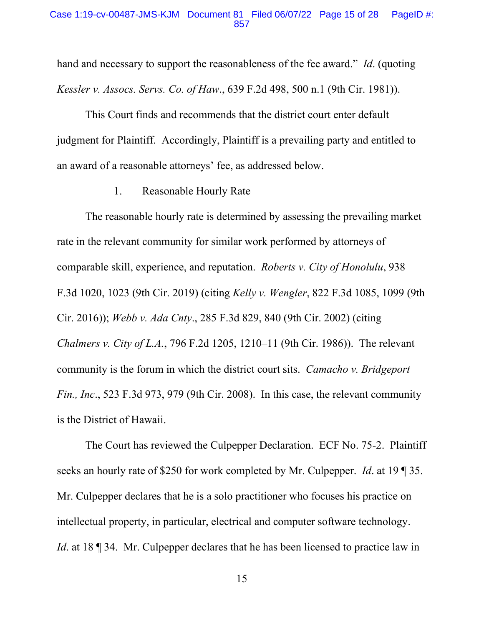#### Case 1:19-cv-00487-JMS-KJM Document 81 Filed 06/07/22 Page 15 of 28 PageID #: 857

hand and necessary to support the reasonableness of the fee award." *Id*. (quoting *Kessler v. Assocs. Servs. Co. of Haw*., 639 F.2d 498, 500 n.1 (9th Cir. 1981)).

This Court finds and recommends that the district court enter default judgment for Plaintiff. Accordingly, Plaintiff is a prevailing party and entitled to an award of a reasonable attorneys' fee, as addressed below.

#### 1. Reasonable Hourly Rate

The reasonable hourly rate is determined by assessing the prevailing market rate in the relevant community for similar work performed by attorneys of comparable skill, experience, and reputation. *Roberts v. City of Honolulu*, 938 F.3d 1020, 1023 (9th Cir. 2019) (citing *Kelly v. Wengler*, 822 F.3d 1085, 1099 (9th Cir. 2016)); *Webb v. Ada Cnty*., 285 F.3d 829, 840 (9th Cir. 2002) (citing *Chalmers v. City of L.A.*, 796 F.2d 1205, 1210–11 (9th Cir. 1986)). The relevant community is the forum in which the district court sits. *Camacho v. Bridgeport Fin., Inc*., 523 F.3d 973, 979 (9th Cir. 2008). In this case, the relevant community is the District of Hawaii.

The Court has reviewed the Culpepper Declaration. ECF No. 75-2. Plaintiff seeks an hourly rate of \$250 for work completed by Mr. Culpepper. *Id*. at 19 ¶ 35. Mr. Culpepper declares that he is a solo practitioner who focuses his practice on intellectual property, in particular, electrical and computer software technology. *Id.* at 18 ¶ 34. Mr. Culpepper declares that he has been licensed to practice law in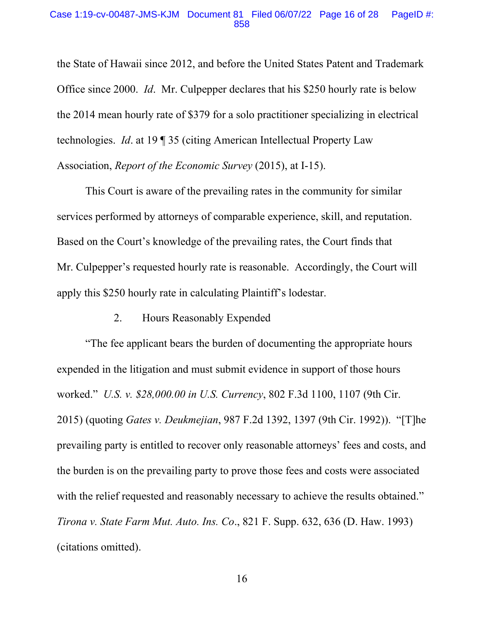#### Case 1:19-cv-00487-JMS-KJM Document 81 Filed 06/07/22 Page 16 of 28 PageID #: 858

the State of Hawaii since 2012, and before the United States Patent and Trademark Office since 2000. *Id*. Mr. Culpepper declares that his \$250 hourly rate is below the 2014 mean hourly rate of \$379 for a solo practitioner specializing in electrical technologies. *Id*. at 19 ¶ 35 (citing American Intellectual Property Law Association, *Report of the Economic Survey* (2015), at I-15).

This Court is aware of the prevailing rates in the community for similar services performed by attorneys of comparable experience, skill, and reputation. Based on the Court's knowledge of the prevailing rates, the Court finds that Mr. Culpepper's requested hourly rate is reasonable. Accordingly, the Court will apply this \$250 hourly rate in calculating Plaintiff's lodestar.

# 2. Hours Reasonably Expended

"The fee applicant bears the burden of documenting the appropriate hours expended in the litigation and must submit evidence in support of those hours worked." *U.S. v. \$28,000.00 in U.S. Currency*, 802 F.3d 1100, 1107 (9th Cir. 2015) (quoting *Gates v. Deukmejian*, 987 F.2d 1392, 1397 (9th Cir. 1992)). "[T]he prevailing party is entitled to recover only reasonable attorneys' fees and costs, and the burden is on the prevailing party to prove those fees and costs were associated with the relief requested and reasonably necessary to achieve the results obtained." *Tirona v. State Farm Mut. Auto. Ins. Co*., 821 F. Supp. 632, 636 (D. Haw. 1993) (citations omitted).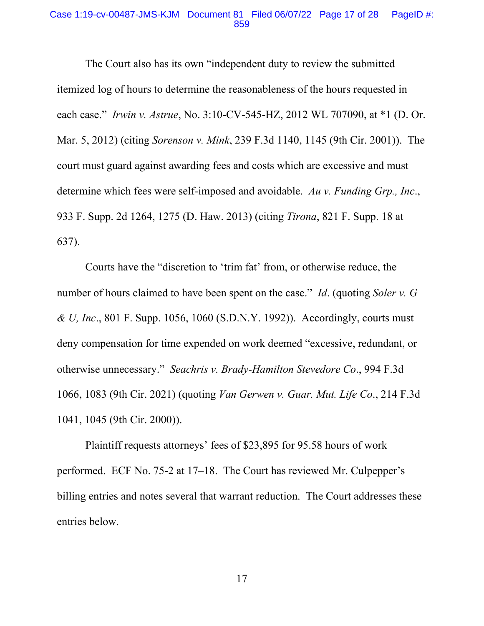#### Case 1:19-cv-00487-JMS-KJM Document 81 Filed 06/07/22 Page 17 of 28 PageID #: 859

The Court also has its own "independent duty to review the submitted itemized log of hours to determine the reasonableness of the hours requested in each case." *Irwin v. Astrue*, No. 3:10-CV-545-HZ, 2012 WL 707090, at \*1 (D. Or. Mar. 5, 2012) (citing *Sorenson v. Mink*, 239 F.3d 1140, 1145 (9th Cir. 2001)). The court must guard against awarding fees and costs which are excessive and must determine which fees were self-imposed and avoidable. *Au v. Funding Grp., Inc*., 933 F. Supp. 2d 1264, 1275 (D. Haw. 2013) (citing *Tirona*, 821 F. Supp. 18 at 637).

Courts have the "discretion to 'trim fat' from, or otherwise reduce, the number of hours claimed to have been spent on the case." *Id*. (quoting *Soler v. G & U, Inc*., 801 F. Supp. 1056, 1060 (S.D.N.Y. 1992)). Accordingly, courts must deny compensation for time expended on work deemed "excessive, redundant, or otherwise unnecessary." *Seachris v. Brady-Hamilton Stevedore Co*., 994 F.3d 1066, 1083 (9th Cir. 2021) (quoting *Van Gerwen v. Guar. Mut. Life Co*., 214 F.3d 1041, 1045 (9th Cir. 2000)).

Plaintiff requests attorneys' fees of \$23,895 for 95.58 hours of work performed. ECF No. 75-2 at 17–18. The Court has reviewed Mr. Culpepper's billing entries and notes several that warrant reduction. The Court addresses these entries below.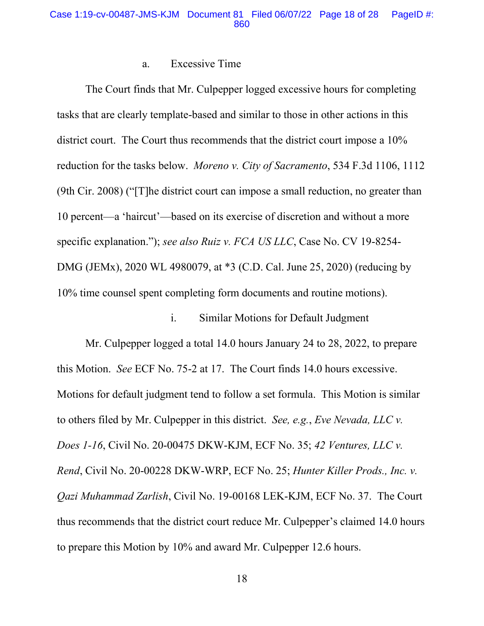### Case 1:19-cv-00487-JMS-KJM Document 81 Filed 06/07/22 Page 18 of 28 PageID #: 860

## a. Excessive Time

The Court finds that Mr. Culpepper logged excessive hours for completing tasks that are clearly template-based and similar to those in other actions in this district court. The Court thus recommends that the district court impose a 10% reduction for the tasks below. *Moreno v. City of Sacramento*, 534 F.3d 1106, 1112 (9th Cir. 2008) ("[T]he district court can impose a small reduction, no greater than 10 percent—a 'haircut'—based on its exercise of discretion and without a more specific explanation."); *see also Ruiz v. FCA US LLC*, Case No. CV 19-8254- DMG (JEMx), 2020 WL 4980079, at \*3 (C.D. Cal. June 25, 2020) (reducing by 10% time counsel spent completing form documents and routine motions).

## i. Similar Motions for Default Judgment

Mr. Culpepper logged a total 14.0 hours January 24 to 28, 2022, to prepare this Motion. *See* ECF No. 75-2 at 17. The Court finds 14.0 hours excessive. Motions for default judgment tend to follow a set formula. This Motion is similar to others filed by Mr. Culpepper in this district. *See, e.g.*, *Eve Nevada, LLC v. Does 1-16*, Civil No. 20-00475 DKW-KJM, ECF No. 35; *42 Ventures, LLC v. Rend*, Civil No. 20-00228 DKW-WRP, ECF No. 25; *Hunter Killer Prods., Inc. v. Qazi Muhammad Zarlish*, Civil No. 19-00168 LEK-KJM, ECF No. 37. The Court thus recommends that the district court reduce Mr. Culpepper's claimed 14.0 hours to prepare this Motion by 10% and award Mr. Culpepper 12.6 hours.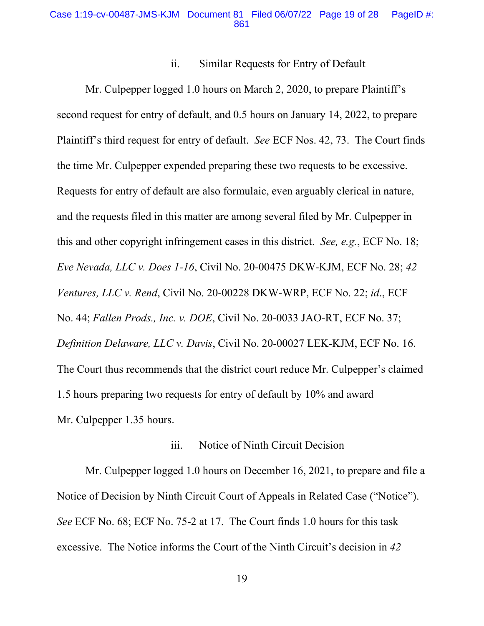### Case 1:19-cv-00487-JMS-KJM Document 81 Filed 06/07/22 Page 19 of 28 PageID #: 861

### ii. Similar Requests for Entry of Default

Mr. Culpepper logged 1.0 hours on March 2, 2020, to prepare Plaintiff's second request for entry of default, and 0.5 hours on January 14, 2022, to prepare Plaintiff's third request for entry of default. *See* ECF Nos. 42, 73. The Court finds the time Mr. Culpepper expended preparing these two requests to be excessive. Requests for entry of default are also formulaic, even arguably clerical in nature, and the requests filed in this matter are among several filed by Mr. Culpepper in this and other copyright infringement cases in this district. *See, e.g.*, ECF No. 18; *Eve Nevada, LLC v. Does 1-16*, Civil No. 20-00475 DKW-KJM, ECF No. 28; *42 Ventures, LLC v. Rend*, Civil No. 20-00228 DKW-WRP, ECF No. 22; *id*., ECF No. 44; *Fallen Prods., Inc. v. DOE*, Civil No. 20-0033 JAO-RT, ECF No. 37; *Definition Delaware, LLC v. Davis*, Civil No. 20-00027 LEK-KJM, ECF No. 16. The Court thus recommends that the district court reduce Mr. Culpepper's claimed 1.5 hours preparing two requests for entry of default by 10% and award Mr. Culpepper 1.35 hours.

## iii. Notice of Ninth Circuit Decision

Mr. Culpepper logged 1.0 hours on December 16, 2021, to prepare and file a Notice of Decision by Ninth Circuit Court of Appeals in Related Case ("Notice"). *See* ECF No. 68; ECF No. 75-2 at 17. The Court finds 1.0 hours for this task excessive. The Notice informs the Court of the Ninth Circuit's decision in *42*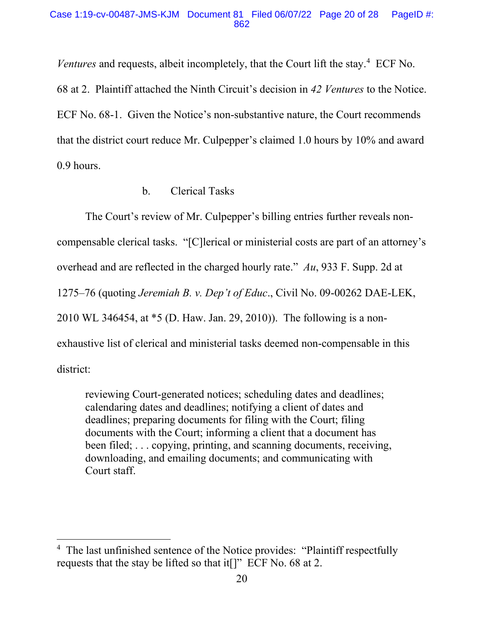### Case 1:19-cv-00487-JMS-KJM Document 81 Filed 06/07/22 Page 20 of 28 PageID #: 862

Ventures and requests, albeit incompletely, that the Court lift the stay.<sup>4</sup> ECF No.

68 at 2. Plaintiff attached the Ninth Circuit's decision in *42 Ventures* to the Notice. ECF No. 68-1. Given the Notice's non-substantive nature, the Court recommends that the district court reduce Mr. Culpepper's claimed 1.0 hours by 10% and award 0.9 hours.

# b. Clerical Tasks

The Court's review of Mr. Culpepper's billing entries further reveals noncompensable clerical tasks. "[C]lerical or ministerial costs are part of an attorney's overhead and are reflected in the charged hourly rate." *Au*, 933 F. Supp. 2d at 1275–76 (quoting *Jeremiah B. v. Dep't of Educ*., Civil No. 09-00262 DAE-LEK, 2010 WL 346454, at \*5 (D. Haw. Jan. 29, 2010)). The following is a nonexhaustive list of clerical and ministerial tasks deemed non-compensable in this district:

reviewing Court-generated notices; scheduling dates and deadlines; calendaring dates and deadlines; notifying a client of dates and deadlines; preparing documents for filing with the Court; filing documents with the Court; informing a client that a document has been filed; ... copying, printing, and scanning documents, receiving, downloading, and emailing documents; and communicating with Court staff.

<sup>&</sup>lt;sup>4</sup> The last unfinished sentence of the Notice provides: "Plaintiff respectfully requests that the stay be lifted so that it[]" ECF No. 68 at 2.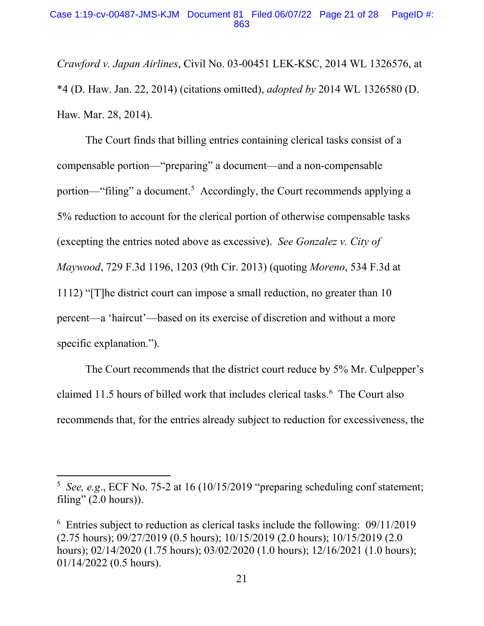*Crawford v. Japan Airlines*, Civil No. 03-00451 LEK-KSC, 2014 WL 1326576, at \*4 (D. Haw. Jan. 22, 2014) (citations omitted), *adopted by* 2014 WL 1326580 (D. Haw. Mar. 28, 2014).

The Court finds that billing entries containing clerical tasks consist of a compensable portion—"preparing" a document—and a non-compensable portion—"filing" a document.<sup>5</sup> Accordingly, the Court recommends applying a 5% reduction to account for the clerical portion of otherwise compensable tasks (excepting the entries noted above as excessive). *See Gonzalez v. City of Maywood*, 729 F.3d 1196, 1203 (9th Cir. 2013) (quoting *Moreno*, 534 F.3d at 1112) "[T]he district court can impose a small reduction, no greater than 10 percent—a 'haircut'—based on its exercise of discretion and without a more specific explanation.").

The Court recommends that the district court reduce by 5% Mr. Culpepper's claimed 11.5 hours of billed work that includes clerical tasks.<sup>6</sup> The Court also recommends that, for the entries already subject to reduction for excessiveness, the

<sup>&</sup>lt;sup>5</sup> See, e.g., ECF No. 75-2 at 16 (10/15/2019 "preparing scheduling conf statement; filing"  $(2.0 \text{ hours})$ ).

<sup>&</sup>lt;sup>6</sup> Entries subject to reduction as clerical tasks include the following: 09/11/2019 (2.75 hours); 09/27/2019 (0.5 hours); 10/15/2019 (2.0 hours); 10/15/2019 (2.0 hours); 02/14/2020 (1.75 hours); 03/02/2020 (1.0 hours); 12/16/2021 (1.0 hours); 01/14/2022 (0.5 hours).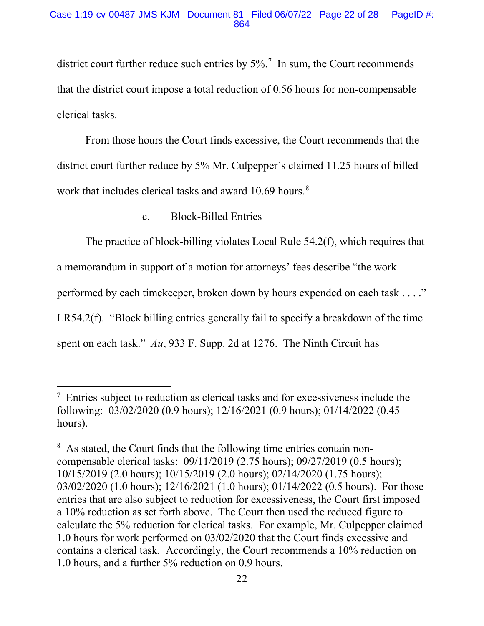### Case 1:19-cv-00487-JMS-KJM Document 81 Filed 06/07/22 Page 22 of 28 PageID #: 864

district court further reduce such entries by  $5\%$ .<sup>7</sup> In sum, the Court recommends that the district court impose a total reduction of 0.56 hours for non-compensable clerical tasks.

From those hours the Court finds excessive, the Court recommends that the district court further reduce by 5% Mr. Culpepper's claimed 11.25 hours of billed work that includes clerical tasks and award 10.69 hours.<sup>8</sup>

## c. Block-Billed Entries

The practice of block-billing violates Local Rule 54.2(f), which requires that

a memorandum in support of a motion for attorneys' fees describe "the work

performed by each timekeeper, broken down by hours expended on each task . . . ."

LR54.2(f). "Block billing entries generally fail to specify a breakdown of the time

spent on each task." *Au*, 933 F. Supp. 2d at 1276. The Ninth Circuit has

<sup>&</sup>lt;sup>7</sup> Entries subject to reduction as clerical tasks and for excessiveness include the following: 03/02/2020 (0.9 hours); 12/16/2021 (0.9 hours); 01/14/2022 (0.45 hours).

<sup>&</sup>lt;sup>8</sup> As stated, the Court finds that the following time entries contain noncompensable clerical tasks: 09/11/2019 (2.75 hours); 09/27/2019 (0.5 hours); 10/15/2019 (2.0 hours); 10/15/2019 (2.0 hours); 02/14/2020 (1.75 hours); 03/02/2020 (1.0 hours); 12/16/2021 (1.0 hours); 01/14/2022 (0.5 hours). For those entries that are also subject to reduction for excessiveness, the Court first imposed a 10% reduction as set forth above. The Court then used the reduced figure to calculate the 5% reduction for clerical tasks. For example, Mr. Culpepper claimed 1.0 hours for work performed on 03/02/2020 that the Court finds excessive and contains a clerical task. Accordingly, the Court recommends a 10% reduction on 1.0 hours, and a further 5% reduction on 0.9 hours.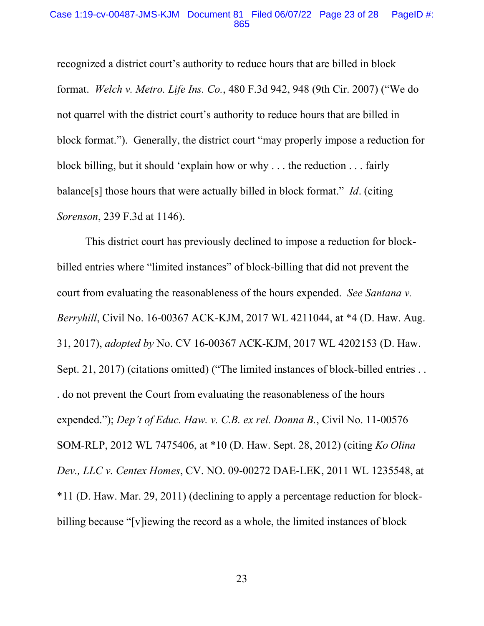#### Case 1:19-cv-00487-JMS-KJM Document 81 Filed 06/07/22 Page 23 of 28 PageID #: 865

recognized a district court's authority to reduce hours that are billed in block format. *Welch v. Metro. Life Ins. Co.*, 480 F.3d 942, 948 (9th Cir. 2007) ("We do not quarrel with the district court's authority to reduce hours that are billed in block format."). Generally, the district court "may properly impose a reduction for block billing, but it should 'explain how or why . . . the reduction . . . fairly balance[s] those hours that were actually billed in block format." *Id*. (citing *Sorenson*, 239 F.3d at 1146).

This district court has previously declined to impose a reduction for blockbilled entries where "limited instances" of block-billing that did not prevent the court from evaluating the reasonableness of the hours expended. *See Santana v. Berryhill*, Civil No. 16-00367 ACK-KJM, 2017 WL 4211044, at \*4 (D. Haw. Aug. 31, 2017), *adopted by* No. CV 16-00367 ACK-KJM, 2017 WL 4202153 (D. Haw. Sept. 21, 2017) (citations omitted) ("The limited instances of block-billed entries . . . do not prevent the Court from evaluating the reasonableness of the hours expended."); *Dep't of Educ. Haw. v. C.B. ex rel. Donna B.*, Civil No. 11-00576 SOM-RLP, 2012 WL 7475406, at \*10 (D. Haw. Sept. 28, 2012) (citing *Ko Olina Dev., LLC v. Centex Homes*, CV. NO. 09-00272 DAE-LEK, 2011 WL 1235548, at \*11 (D. Haw. Mar. 29, 2011) (declining to apply a percentage reduction for blockbilling because "[v]iewing the record as a whole, the limited instances of block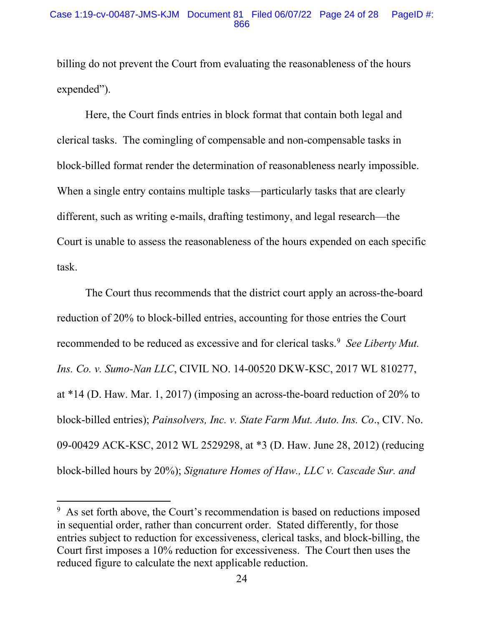### Case 1:19-cv-00487-JMS-KJM Document 81 Filed 06/07/22 Page 24 of 28 PageID #: 866

billing do not prevent the Court from evaluating the reasonableness of the hours expended").

Here, the Court finds entries in block format that contain both legal and clerical tasks. The comingling of compensable and non-compensable tasks in block-billed format render the determination of reasonableness nearly impossible. When a single entry contains multiple tasks—particularly tasks that are clearly different, such as writing e-mails, drafting testimony, and legal research—the Court is unable to assess the reasonableness of the hours expended on each specific task.

The Court thus recommends that the district court apply an across-the-board reduction of 20% to block-billed entries, accounting for those entries the Court recommended to be reduced as excessive and for clerical tasks. 9 *See Liberty Mut. Ins. Co. v. Sumo-Nan LLC*, CIVIL NO. 14-00520 DKW-KSC, 2017 WL 810277, at \*14 (D. Haw. Mar. 1, 2017) (imposing an across-the-board reduction of 20% to block-billed entries); *Painsolvers, Inc. v. State Farm Mut. Auto. Ins. Co*., CIV. No. 09-00429 ACK-KSC, 2012 WL 2529298, at \*3 (D. Haw. June 28, 2012) (reducing block-billed hours by 20%); *Signature Homes of Haw., LLC v. Cascade Sur. and* 

<sup>&</sup>lt;sup>9</sup> As set forth above, the Court's recommendation is based on reductions imposed in sequential order, rather than concurrent order. Stated differently, for those entries subject to reduction for excessiveness, clerical tasks, and block-billing, the Court first imposes a 10% reduction for excessiveness. The Court then uses the reduced figure to calculate the next applicable reduction.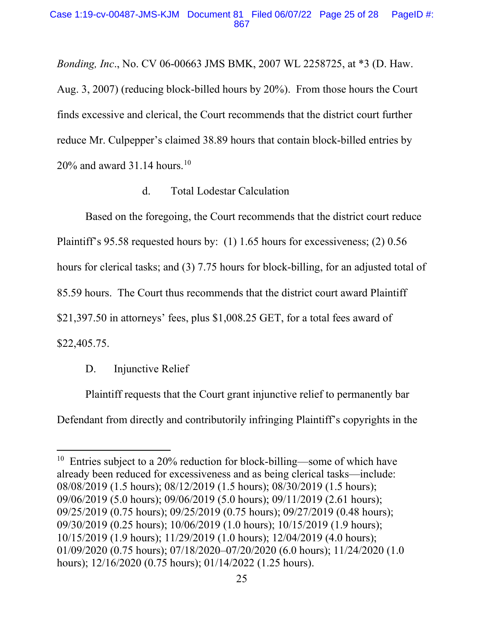### Case 1:19-cv-00487-JMS-KJM Document 81 Filed 06/07/22 Page 25 of 28 PageID #: 867

*Bonding, Inc*., No. CV 06-00663 JMS BMK, 2007 WL 2258725, at \*3 (D. Haw. Aug. 3, 2007) (reducing block-billed hours by 20%). From those hours the Court finds excessive and clerical, the Court recommends that the district court further reduce Mr. Culpepper's claimed 38.89 hours that contain block-billed entries by  $20\%$  and award 31.14 hours.<sup>10</sup>

## d. Total Lodestar Calculation

Based on the foregoing, the Court recommends that the district court reduce Plaintiff's 95.58 requested hours by: (1) 1.65 hours for excessiveness; (2) 0.56 hours for clerical tasks; and (3) 7.75 hours for block-billing, for an adjusted total of 85.59 hours. The Court thus recommends that the district court award Plaintiff \$21,397.50 in attorneys' fees, plus \$1,008.25 GET, for a total fees award of \$22,405.75.

# D. Injunctive Relief

Plaintiff requests that the Court grant injunctive relief to permanently bar Defendant from directly and contributorily infringing Plaintiff's copyrights in the

 $10$  Entries subject to a 20% reduction for block-billing—some of which have already been reduced for excessiveness and as being clerical tasks—include: 08/08/2019 (1.5 hours); 08/12/2019 (1.5 hours); 08/30/2019 (1.5 hours); 09/06/2019 (5.0 hours); 09/06/2019 (5.0 hours); 09/11/2019 (2.61 hours); 09/25/2019 (0.75 hours); 09/25/2019 (0.75 hours); 09/27/2019 (0.48 hours); 09/30/2019 (0.25 hours); 10/06/2019 (1.0 hours); 10/15/2019 (1.9 hours); 10/15/2019 (1.9 hours); 11/29/2019 (1.0 hours); 12/04/2019 (4.0 hours); 01/09/2020 (0.75 hours); 07/18/2020–07/20/2020 (6.0 hours); 11/24/2020 (1.0 hours); 12/16/2020 (0.75 hours); 01/14/2022 (1.25 hours).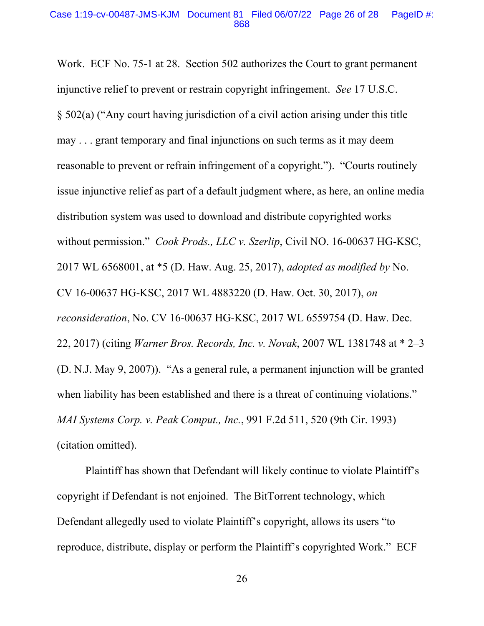#### Case 1:19-cv-00487-JMS-KJM Document 81 Filed 06/07/22 Page 26 of 28 PageID #: 868

Work. ECF No. 75-1 at 28. Section 502 authorizes the Court to grant permanent injunctive relief to prevent or restrain copyright infringement. *See* 17 U.S.C. § 502(a) ("Any court having jurisdiction of a civil action arising under this title may . . . grant temporary and final injunctions on such terms as it may deem reasonable to prevent or refrain infringement of a copyright."). "Courts routinely issue injunctive relief as part of a default judgment where, as here, an online media distribution system was used to download and distribute copyrighted works without permission." *Cook Prods., LLC v. Szerlip*, Civil NO. 16-00637 HG-KSC, 2017 WL 6568001, at \*5 (D. Haw. Aug. 25, 2017), *adopted as modified by* No. CV 16-00637 HG-KSC, 2017 WL 4883220 (D. Haw. Oct. 30, 2017), *on reconsideration*, No. CV 16-00637 HG-KSC, 2017 WL 6559754 (D. Haw. Dec. 22, 2017) (citing *Warner Bros. Records, Inc. v. Novak*, 2007 WL 1381748 at \* 2–3 (D. N.J. May 9, 2007)). "As a general rule, a permanent injunction will be granted when liability has been established and there is a threat of continuing violations." *MAI Systems Corp. v. Peak Comput., Inc.*, 991 F.2d 511, 520 (9th Cir. 1993) (citation omitted).

Plaintiff has shown that Defendant will likely continue to violate Plaintiff's copyright if Defendant is not enjoined. The BitTorrent technology, which Defendant allegedly used to violate Plaintiff's copyright, allows its users "to reproduce, distribute, display or perform the Plaintiff's copyrighted Work." ECF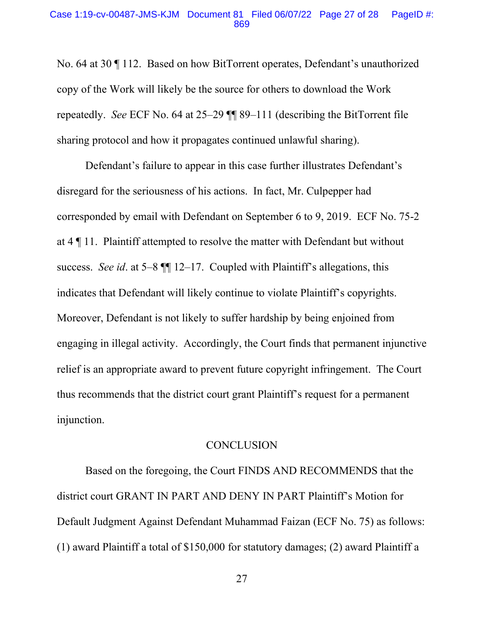#### Case 1:19-cv-00487-JMS-KJM Document 81 Filed 06/07/22 Page 27 of 28 PageID #: 869

No. 64 at 30 ¶ 112. Based on how BitTorrent operates, Defendant's unauthorized copy of the Work will likely be the source for others to download the Work repeatedly. *See* ECF No. 64 at 25–29 ¶¶ 89–111 (describing the BitTorrent file sharing protocol and how it propagates continued unlawful sharing).

Defendant's failure to appear in this case further illustrates Defendant's disregard for the seriousness of his actions. In fact, Mr. Culpepper had corresponded by email with Defendant on September 6 to 9, 2019. ECF No. 75-2 at 4 ¶ 11. Plaintiff attempted to resolve the matter with Defendant but without success. *See id*. at 5–8 ¶¶ 12–17. Coupled with Plaintiff's allegations, this indicates that Defendant will likely continue to violate Plaintiff's copyrights. Moreover, Defendant is not likely to suffer hardship by being enjoined from engaging in illegal activity. Accordingly, the Court finds that permanent injunctive relief is an appropriate award to prevent future copyright infringement. The Court thus recommends that the district court grant Plaintiff's request for a permanent injunction.

### **CONCLUSION**

Based on the foregoing, the Court FINDS AND RECOMMENDS that the district court GRANT IN PART AND DENY IN PART Plaintiff's Motion for Default Judgment Against Defendant Muhammad Faizan (ECF No. 75) as follows: (1) award Plaintiff a total of \$150,000 for statutory damages; (2) award Plaintiff a